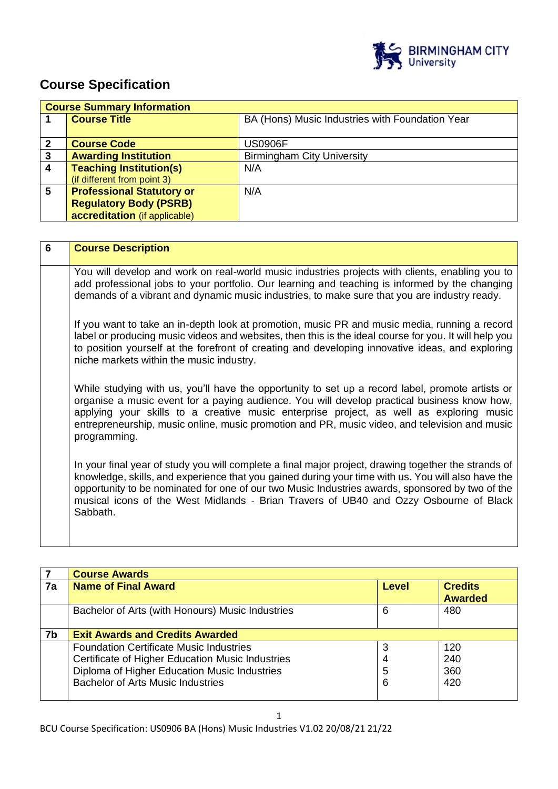

# **Course Specification**

|   | <b>Course Summary Information</b> |                                                 |
|---|-----------------------------------|-------------------------------------------------|
|   | <b>Course Title</b>               | BA (Hons) Music Industries with Foundation Year |
|   |                                   |                                                 |
| 2 | <b>Course Code</b>                | <b>US0906F</b>                                  |
| 3 | <b>Awarding Institution</b>       | <b>Birmingham City University</b>               |
| 4 | <b>Teaching Institution(s)</b>    | N/A                                             |
|   | (if different from point 3)       |                                                 |
| 5 | <b>Professional Statutory or</b>  | N/A                                             |
|   | <b>Regulatory Body (PSRB)</b>     |                                                 |
|   | accreditation (if applicable)     |                                                 |

| 6 | <b>Course Description</b>                                                                                                                                                                                                                                                                                                                                                                                          |
|---|--------------------------------------------------------------------------------------------------------------------------------------------------------------------------------------------------------------------------------------------------------------------------------------------------------------------------------------------------------------------------------------------------------------------|
|   | You will develop and work on real-world music industries projects with clients, enabling you to<br>add professional jobs to your portfolio. Our learning and teaching is informed by the changing<br>demands of a vibrant and dynamic music industries, to make sure that you are industry ready.                                                                                                                  |
|   | If you want to take an in-depth look at promotion, music PR and music media, running a record<br>label or producing music videos and websites, then this is the ideal course for you. It will help you<br>to position yourself at the forefront of creating and developing innovative ideas, and exploring<br>niche markets within the music industry.                                                             |
|   | While studying with us, you'll have the opportunity to set up a record label, promote artists or<br>organise a music event for a paying audience. You will develop practical business know how,<br>applying your skills to a creative music enterprise project, as well as exploring music<br>entrepreneurship, music online, music promotion and PR, music video, and television and music<br>programming.        |
|   | In your final year of study you will complete a final major project, drawing together the strands of<br>knowledge, skills, and experience that you gained during your time with us. You will also have the<br>opportunity to be nominated for one of our two Music Industries awards, sponsored by two of the<br>musical icons of the West Midlands - Brian Travers of UB40 and Ozzy Osbourne of Black<br>Sabbath. |

|    | <b>Course Awards</b>                             |              |                                  |
|----|--------------------------------------------------|--------------|----------------------------------|
| 7a | <b>Name of Final Award</b>                       | <b>Level</b> | <b>Credits</b><br><b>Awarded</b> |
|    | Bachelor of Arts (with Honours) Music Industries | 6            | 480                              |
| 7b | <b>Exit Awards and Credits Awarded</b>           |              |                                  |
|    | <b>Foundation Certificate Music Industries</b>   | 3            | 120                              |
|    | Certificate of Higher Education Music Industries | 4            | 240                              |
|    | Diploma of Higher Education Music Industries     | 5            | 360                              |
|    | <b>Bachelor of Arts Music Industries</b>         | 6            | 420                              |
|    |                                                  |              |                                  |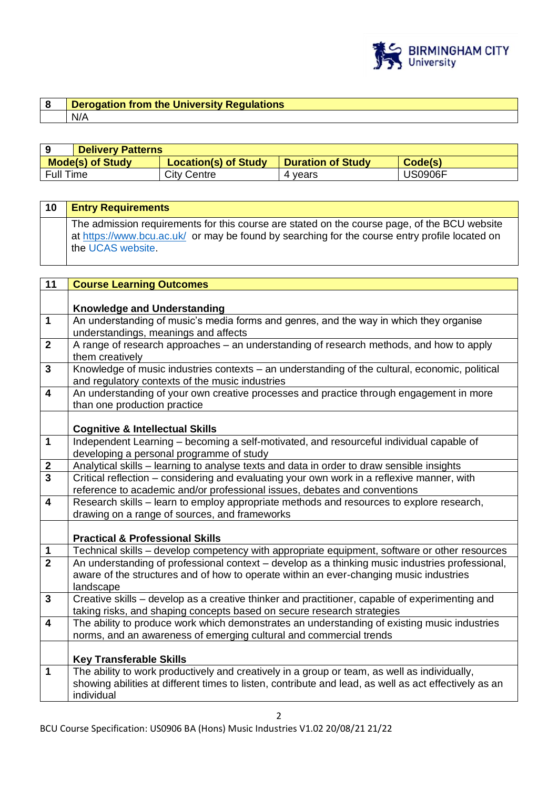

## **8 Derogation from the University Regulations**  N/A

|                  | <b>Delivery Patterns</b> |                             |                          |         |
|------------------|--------------------------|-----------------------------|--------------------------|---------|
|                  | <b>Mode(s) of Study</b>  | <b>Location(s) of Study</b> | <b>Duration of Study</b> | Code(s) |
| <b>Full Time</b> |                          | <b>City Centre</b>          | 4 vears                  | JS0906F |

| 10 | <b>Entry Requirements</b>                                                                                                                                                                                           |
|----|---------------------------------------------------------------------------------------------------------------------------------------------------------------------------------------------------------------------|
|    | The admission requirements for this course are stated on the course page, of the BCU website<br>at https://www.bcu.ac.uk/ or may be found by searching for the course entry profile located on<br>the UCAS website. |

| 11                      | <b>Course Learning Outcomes</b>                                                                       |
|-------------------------|-------------------------------------------------------------------------------------------------------|
|                         |                                                                                                       |
|                         | <b>Knowledge and Understanding</b>                                                                    |
| $\mathbf 1$             | An understanding of music's media forms and genres, and the way in which they organise                |
|                         | understandings, meanings and affects                                                                  |
| $\overline{2}$          | A range of research approaches - an understanding of research methods, and how to apply               |
|                         | them creatively                                                                                       |
| $\overline{3}$          | Knowledge of music industries contexts - an understanding of the cultural, economic, political        |
|                         | and regulatory contexts of the music industries                                                       |
| $\overline{\mathbf{4}}$ | An understanding of your own creative processes and practice through engagement in more               |
|                         | than one production practice                                                                          |
|                         |                                                                                                       |
|                         | <b>Cognitive &amp; Intellectual Skills</b>                                                            |
| $\overline{1}$          | Independent Learning - becoming a self-motivated, and resourceful individual capable of               |
|                         | developing a personal programme of study                                                              |
| $\mathbf{2}$            | Analytical skills - learning to analyse texts and data in order to draw sensible insights             |
| $\overline{3}$          | Critical reflection - considering and evaluating your own work in a reflexive manner, with            |
|                         | reference to academic and/or professional issues, debates and conventions                             |
| $\overline{\mathbf{4}}$ | Research skills - learn to employ appropriate methods and resources to explore research,              |
|                         | drawing on a range of sources, and frameworks                                                         |
|                         |                                                                                                       |
|                         | <b>Practical &amp; Professional Skills</b>                                                            |
| $\mathbf 1$             | Technical skills - develop competency with appropriate equipment, software or other resources         |
| $\overline{2}$          | An understanding of professional context - develop as a thinking music industries professional,       |
|                         | aware of the structures and of how to operate within an ever-changing music industries                |
|                         | landscape                                                                                             |
| $\mathbf{3}$            | Creative skills - develop as a creative thinker and practitioner, capable of experimenting and        |
|                         | taking risks, and shaping concepts based on secure research strategies                                |
| $\overline{\mathbf{4}}$ | The ability to produce work which demonstrates an understanding of existing music industries          |
|                         | norms, and an awareness of emerging cultural and commercial trends                                    |
|                         |                                                                                                       |
|                         | <b>Key Transferable Skills</b>                                                                        |
| $\mathbf{1}$            | The ability to work productively and creatively in a group or team, as well as individually,          |
|                         | showing abilities at different times to listen, contribute and lead, as well as act effectively as an |
|                         | individual                                                                                            |
|                         |                                                                                                       |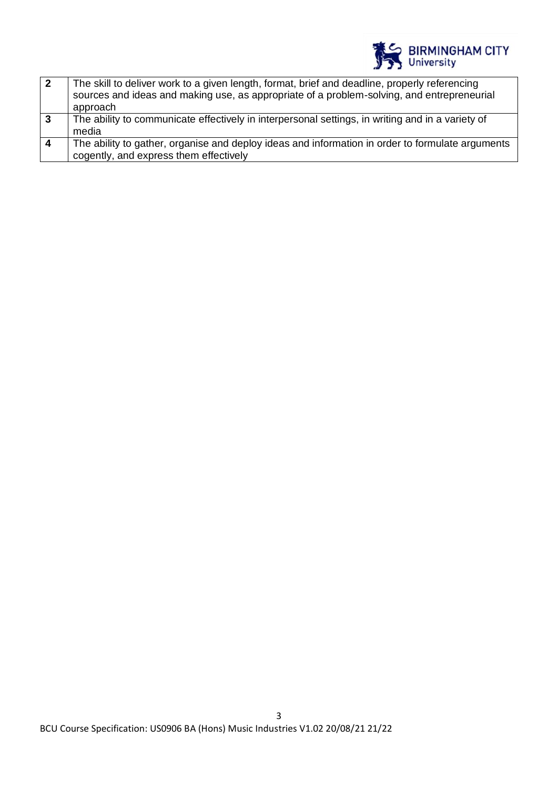

|                  | The skill to deliver work to a given length, format, brief and deadline, properly referencing<br>sources and ideas and making use, as appropriate of a problem-solving, and entrepreneurial<br>approach |
|------------------|---------------------------------------------------------------------------------------------------------------------------------------------------------------------------------------------------------|
| $\mathbf{3}$     | The ability to communicate effectively in interpersonal settings, in writing and in a variety of<br>media                                                                                               |
| $\boldsymbol{4}$ | The ability to gather, organise and deploy ideas and information in order to formulate arguments<br>cogently, and express them effectively                                                              |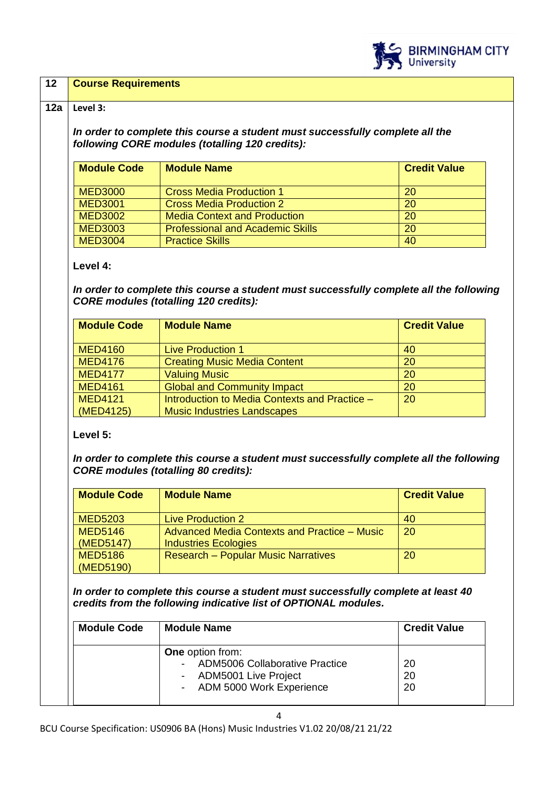

## **12 Course Requirements**

#### **12a Level 3:**

*In order to complete this course a student must successfully complete all the following CORE modules (totalling 120 credits):*

| <b>Module Code</b> | <b>Module Name</b>                      | <b>Credit Value</b> |
|--------------------|-----------------------------------------|---------------------|
| <b>MED3000</b>     | <b>Cross Media Production 1</b>         | 20                  |
| <b>MED3001</b>     | <b>Cross Media Production 2</b>         | 20                  |
| <b>MED3002</b>     | <b>Media Context and Production</b>     | 20                  |
| <b>MED3003</b>     | <b>Professional and Academic Skills</b> | 20                  |
| <b>MED3004</b>     | <b>Practice Skills</b>                  | 40                  |

### **Level 4:**

*In order to complete this course a student must successfully complete all the following CORE modules (totalling 120 credits):*

| <b>Module Code</b> | <b>Module Name</b>                            | <b>Credit Value</b> |
|--------------------|-----------------------------------------------|---------------------|
| <b>MED4160</b>     | <b>Live Production 1</b>                      | 40                  |
| <b>MED4176</b>     | <b>Creating Music Media Content</b>           | 20                  |
| <b>MED4177</b>     | <b>Valuing Music</b>                          | 20                  |
| <b>MED4161</b>     | <b>Global and Community Impact</b>            | 20                  |
| <b>MED4121</b>     | Introduction to Media Contexts and Practice - | 20                  |
| (MED4125)          | <b>Music Industries Landscapes</b>            |                     |

#### **Level 5:**

*In order to complete this course a student must successfully complete all the following CORE modules (totalling 80 credits):*

| <b>Module Code</b> | <b>Module Name</b>                           | <b>Credit Value</b> |
|--------------------|----------------------------------------------|---------------------|
| <b>MED5203</b>     | <b>Live Production 2</b>                     | 40                  |
| <b>MED5146</b>     | Advanced Media Contexts and Practice - Music | 20                  |
| (MED5147)          | <b>Industries Ecologies</b>                  |                     |
| <b>MED5186</b>     | <b>Research - Popular Music Narratives</b>   | 20                  |
| (MED5190)          |                                              |                     |

*In order to complete this course a student must successfully complete at least 40 credits from the following indicative list of OPTIONAL modules.* 

| <b>Module Code</b> | <b>Module Name</b>                                                                                                                          | <b>Credit Value</b> |
|--------------------|---------------------------------------------------------------------------------------------------------------------------------------------|---------------------|
|                    | <b>One</b> option from:<br>ADM5006 Collaborative Practice<br>$\blacksquare$<br>- ADM5001 Live Project<br>ADM 5000 Work Experience<br>$\sim$ | 20<br>20<br>20      |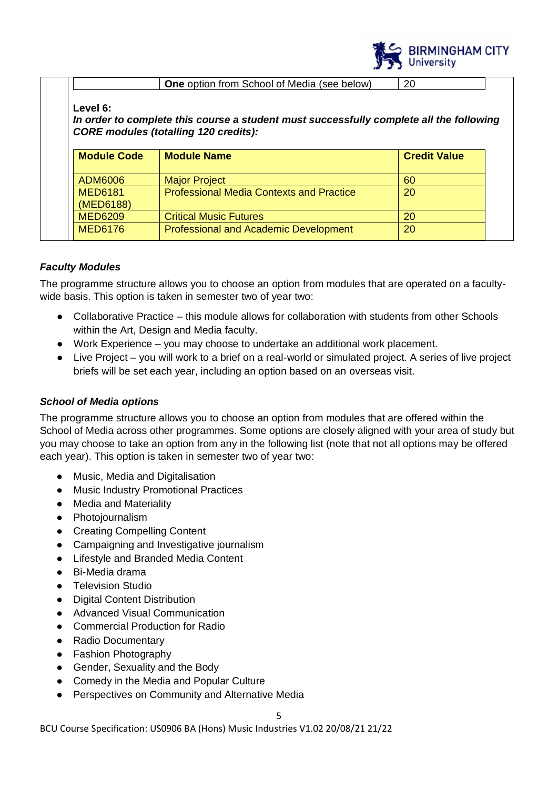

**One** option from School of Media (see below) 20

## **Level 6:**

*In order to complete this course a student must successfully complete all the following CORE modules (totalling 120 credits):*

| <b>Module Code</b>          | <b>Module Name</b>                              | <b>Credit Value</b> |
|-----------------------------|-------------------------------------------------|---------------------|
| ADM6006                     | <b>Major Project</b>                            | 60                  |
| <b>MED6181</b><br>(MED6188) | <b>Professional Media Contexts and Practice</b> | 20                  |
| <b>MED6209</b>              | <b>Critical Music Futures</b>                   | 20                  |
| <b>MED6176</b>              | <b>Professional and Academic Development</b>    | 20                  |

## *Faculty Modules*

The programme structure allows you to choose an option from modules that are operated on a facultywide basis. This option is taken in semester two of year two:

- Collaborative Practice this module allows for collaboration with students from other Schools within the Art. Design and Media faculty.
- Work Experience you may choose to undertake an additional work placement.
- Live Project  $-$  you will work to a brief on a real-world or simulated project. A series of live project briefs will be set each year, including an option based on an overseas visit.

## *School of Media options*

The programme structure allows you to choose an option from modules that are offered within the School of Media across other programmes. Some options are closely aligned with your area of study but you may choose to take an option from any in the following list (note that not all options may be offered each year). This option is taken in semester two of year two:

- Music, Media and Digitalisation
- Music Industry Promotional Practices
- Media and Materiality
- Photojournalism
- Creating Compelling Content
- Campaigning and Investigative journalism
- Lifestyle and Branded Media Content
- Bi-Media drama
- Television Studio
- Digital Content Distribution
- Advanced Visual Communication
- Commercial Production for Radio
- Radio Documentary
- Fashion Photography
- Gender, Sexuality and the Body
- Comedy in the Media and Popular Culture
- Perspectives on Community and Alternative Media

BCU Course Specification: US0906 BA (Hons) Music Industries V1.02 20/08/21 21/22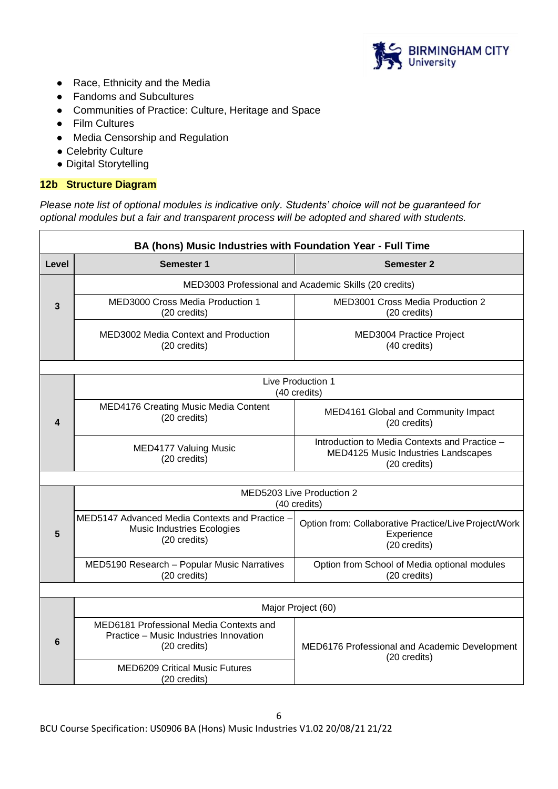

- Race, Ethnicity and the Media
- Fandoms and Subcultures
- Communities of Practice: Culture, Heritage and Space
- Film Cultures
- Media Censorship and Regulation
- Celebrity Culture
- Digital Storytelling

## **12b Structure Diagram**

*Please note list of optional modules is indicative only. Students' choice will not be guaranteed for optional modules but a fair and transparent process will be adopted and shared with students.*

|                                           | BA (hons) Music Industries with Foundation Year - Full Time                                         |                                                                                                      |
|-------------------------------------------|-----------------------------------------------------------------------------------------------------|------------------------------------------------------------------------------------------------------|
| Level                                     | Semester 1                                                                                          | <b>Semester 2</b>                                                                                    |
|                                           |                                                                                                     | MED3003 Professional and Academic Skills (20 credits)                                                |
| 3                                         | MED3000 Cross Media Production 1<br>(20 credits)                                                    | <b>MED3001 Cross Media Production 2</b><br>(20 credits)                                              |
|                                           | MED3002 Media Context and Production<br>(20 credits)                                                | MED3004 Practice Project<br>(40 credits)                                                             |
|                                           |                                                                                                     |                                                                                                      |
|                                           | Live Production 1<br>(40 credits)                                                                   |                                                                                                      |
| 4                                         | <b>MED4176 Creating Music Media Content</b><br>(20 credits)                                         | MED4161 Global and Community Impact<br>(20 credits)                                                  |
|                                           | <b>MED4177 Valuing Music</b><br>(20 credits)                                                        | Introduction to Media Contexts and Practice -<br>MED4125 Music Industries Landscapes<br>(20 credits) |
|                                           |                                                                                                     |                                                                                                      |
| MED5203 Live Production 2<br>(40 credits) |                                                                                                     |                                                                                                      |
| 5                                         | MED5147 Advanced Media Contexts and Practice -<br><b>Music Industries Ecologies</b><br>(20 credits) | Option from: Collaborative Practice/Live Project/Work<br>Experience<br>(20 credits)                  |
|                                           | MED5190 Research - Popular Music Narratives<br>(20 credits)                                         | Option from School of Media optional modules<br>(20 credits)                                         |
|                                           |                                                                                                     |                                                                                                      |
|                                           |                                                                                                     | Major Project (60)                                                                                   |
| 6                                         | MED6181 Professional Media Contexts and<br>Practice - Music Industries Innovation<br>(20 credits)   | MED6176 Professional and Academic Development<br>(20 credits)                                        |
|                                           | <b>MED6209 Critical Music Futures</b><br>(20 credits)                                               |                                                                                                      |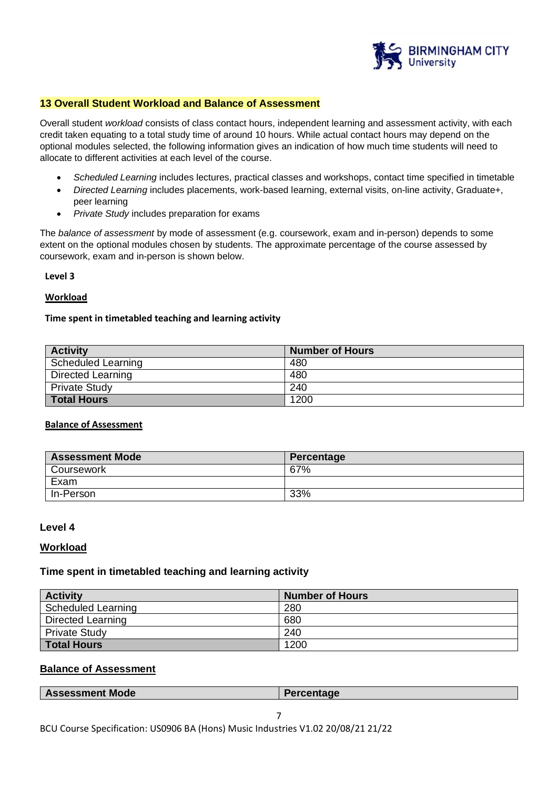

### **13 Overall Student Workload and Balance of Assessment**

Overall student *workload* consists of class contact hours, independent learning and assessment activity, with each credit taken equating to a total study time of around 10 hours. While actual contact hours may depend on the optional modules selected, the following information gives an indication of how much time students will need to allocate to different activities at each level of the course.

- *Scheduled Learning* includes lectures, practical classes and workshops, contact time specified in timetable
- *Directed Learning* includes placements, work-based learning, external visits, on-line activity, Graduate+, peer learning
- *Private Study* includes preparation for exams

The *balance of assessment* by mode of assessment (e.g. coursework, exam and in-person) depends to some extent on the optional modules chosen by students. The approximate percentage of the course assessed by coursework, exam and in-person is shown below.

#### **Level 3**

#### **Workload**

#### **Time spent in timetabled teaching and learning activity**

| <b>Activity</b>           | <b>Number of Hours</b> |
|---------------------------|------------------------|
| <b>Scheduled Learning</b> | 480                    |
| <b>Directed Learning</b>  | 480                    |
| <b>Private Study</b>      | 240                    |
| <b>Total Hours</b>        | 1200                   |

## **Balance of Assessment**

| <b>Assessment Mode</b> | Percentage |
|------------------------|------------|
| Coursework             | 67%        |
| Exam                   |            |
| In-Person              | 33%        |

#### **Level 4**

#### **Workload**

#### **Time spent in timetabled teaching and learning activity**

| <b>Activity</b>      | <b>Number of Hours</b> |
|----------------------|------------------------|
| Scheduled Learning   | 280                    |
| Directed Learning    | 680                    |
| <b>Private Study</b> | 240                    |
| <b>Total Hours</b>   | 1200                   |

#### **Balance of Assessment**

|  | <b>Assessment Mode</b> | Percentage |
|--|------------------------|------------|
|--|------------------------|------------|